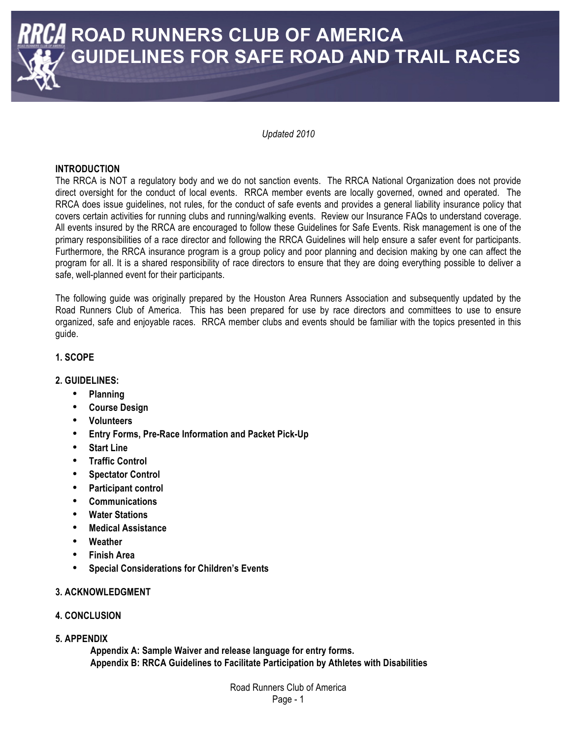

*Updated 2010*

#### **INTRODUCTION**

The RRCA is NOT a regulatory body and we do not sanction events. The RRCA National Organization does not provide direct oversight for the conduct of local events. RRCA member events are locally governed, owned and operated. The RRCA does issue guidelines, not rules, for the conduct of safe events and provides a general liability insurance policy that covers certain activities for running clubs and running/walking events. Review our Insurance FAQs to understand coverage. All events insured by the RRCA are encouraged to follow these Guidelines for Safe Events. Risk management is one of the primary responsibilities of a race director and following the RRCA Guidelines will help ensure a safer event for participants. Furthermore, the RRCA insurance program is a group policy and poor planning and decision making by one can affect the program for all. It is a shared responsibility of race directors to ensure that they are doing everything possible to deliver a safe, well-planned event for their participants.

The following guide was originally prepared by the Houston Area Runners Association and subsequently updated by the Road Runners Club of America. This has been prepared for use by race directors and committees to use to ensure organized, safe and enjoyable races. RRCA member clubs and events should be familiar with the topics presented in this guide.

#### **1. SCOPE**

#### **2. GUIDELINES:**

- **Planning**
- **Course Design**
- **Volunteers**
- **Entry Forms, Pre-Race Information and Packet Pick-Up**
- **Start Line**
- **Traffic Control**
- **Spectator Control**
- **Participant control**
- **Communications**
- **Water Stations**
- **Medical Assistance**
- **Weather**
- **Finish Area**
- **Special Considerations for Children's Events**

#### **3. ACKNOWLEDGMENT**

#### **4. CONCLUSION**

**5. APPENDIX** 

**Appendix A: Sample Waiver and release language for entry forms. Appendix B: RRCA Guidelines to Facilitate Participation by Athletes with Disabilities**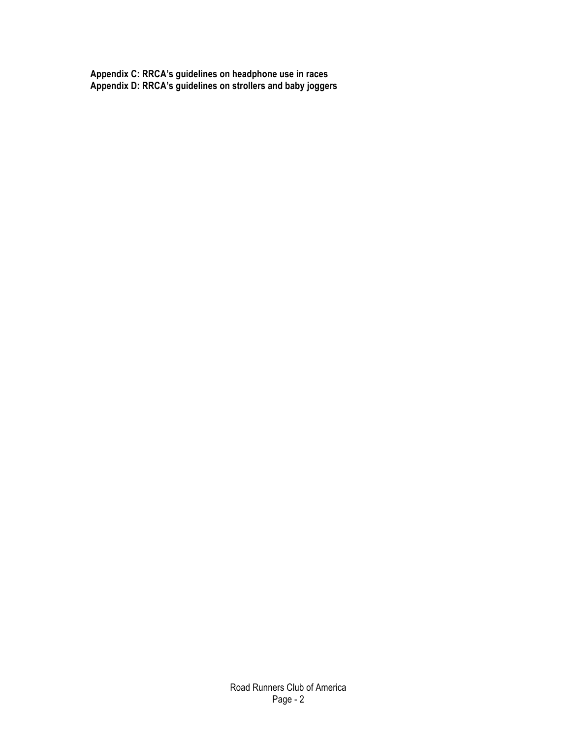**Appendix C: RRCA's guidelines on headphone use in races Appendix D: RRCA's guidelines on strollers and baby joggers**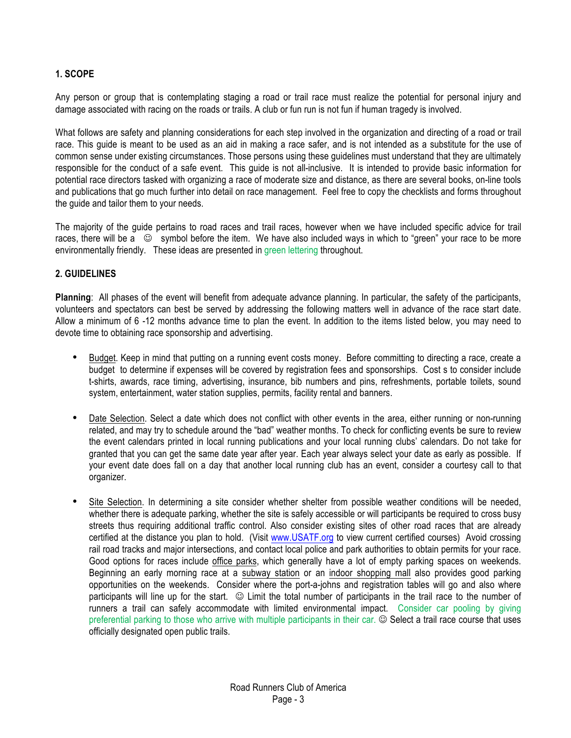#### **1. SCOPE**

Any person or group that is contemplating staging a road or trail race must realize the potential for personal injury and damage associated with racing on the roads or trails. A club or fun run is not fun if human tragedy is involved.

What follows are safety and planning considerations for each step involved in the organization and directing of a road or trail race. This guide is meant to be used as an aid in making a race safer, and is not intended as a substitute for the use of common sense under existing circumstances. Those persons using these guidelines must understand that they are ultimately responsible for the conduct of a safe event. This guide is not all-inclusive. It is intended to provide basic information for potential race directors tasked with organizing a race of moderate size and distance, as there are several books, on-line tools and publications that go much further into detail on race management. Feel free to copy the checklists and forms throughout the guide and tailor them to your needs.

The majority of the guide pertains to road races and trail races, however when we have included specific advice for trail races, there will be a  $\heartsuit$  symbol before the item. We have also included ways in which to "green" your race to be more environmentally friendly. These ideas are presented in green lettering throughout.

#### **2. GUIDELINES**

**Planning**: All phases of the event will benefit from adequate advance planning. In particular, the safety of the participants, volunteers and spectators can best be served by addressing the following matters well in advance of the race start date. Allow a minimum of 6 -12 months advance time to plan the event. In addition to the items listed below, you may need to devote time to obtaining race sponsorship and advertising.

- Budget. Keep in mind that putting on a running event costs money. Before committing to directing a race, create a budget to determine if expenses will be covered by registration fees and sponsorships. Cost s to consider include t-shirts, awards, race timing, advertising, insurance, bib numbers and pins, refreshments, portable toilets, sound system, entertainment, water station supplies, permits, facility rental and banners.
- Date Selection. Select a date which does not conflict with other events in the area, either running or non-running related, and may try to schedule around the "bad" weather months. To check for conflicting events be sure to review the event calendars printed in local running publications and your local running clubs' calendars. Do not take for granted that you can get the same date year after year. Each year always select your date as early as possible. If your event date does fall on a day that another local running club has an event, consider a courtesy call to that organizer.
- Site Selection. In determining a site consider whether shelter from possible weather conditions will be needed, whether there is adequate parking, whether the site is safely accessible or will participants be required to cross busy streets thus requiring additional traffic control. Also consider existing sites of other road races that are already certified at the distance you plan to hold. (Visit [www.USATF.org](http://www.USATF.org) to view current certified courses) Avoid crossing rail road tracks and major intersections, and contact local police and park authorities to obtain permits for your race. Good options for races include office parks, which generally have a lot of empty parking spaces on weekends. Beginning an early morning race at a subway station or an indoor shopping mall also provides good parking opportunities on the weekends. Consider where the port-a-johns and registration tables will go and also where participants will line up for the start.  $\odot$  Limit the total number of participants in the trail race to the number of runners a trail can safely accommodate with limited environmental impact. Consider car pooling by giving preferential parking to those who arrive with multiple participants in their car.  $\odot$  Select a trail race course that uses officially designated open public trails.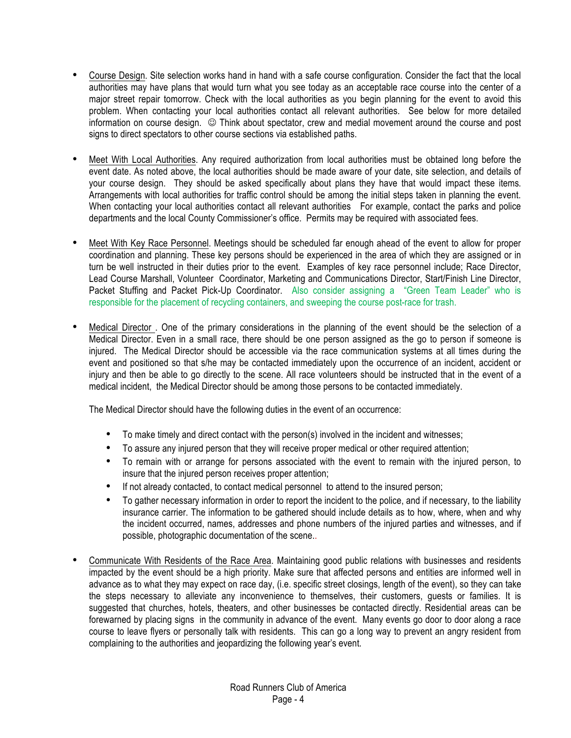- Course Design. Site selection works hand in hand with a safe course configuration. Consider the fact that the local authorities may have plans that would turn what you see today as an acceptable race course into the center of a major street repair tomorrow. Check with the local authorities as you begin planning for the event to avoid this problem. When contacting your local authorities contact all relevant authorities. See below for more detailed information on course design.  $\circledcirc$  Think about spectator, crew and medial movement around the course and post signs to direct spectators to other course sections via established paths.
- Meet With Local Authorities. Any required authorization from local authorities must be obtained long before the event date. As noted above, the local authorities should be made aware of your date, site selection, and details of your course design. They should be asked specifically about plans they have that would impact these items. Arrangements with local authorities for traffic control should be among the initial steps taken in planning the event. When contacting your local authorities contact all relevant authorities For example, contact the parks and police departments and the local County Commissioner's office. Permits may be required with associated fees.
- Meet With Key Race Personnel. Meetings should be scheduled far enough ahead of the event to allow for proper coordination and planning. These key persons should be experienced in the area of which they are assigned or in turn be well instructed in their duties prior to the event. Examples of key race personnel include; Race Director, Lead Course Marshall, Volunteer Coordinator, Marketing and Communications Director, Start/Finish Line Director, Packet Stuffing and Packet Pick-Up Coordinator. Also consider assigning a "Green Team Leader" who is responsible for the placement of recycling containers, and sweeping the course post-race for trash.
- Medical Director. One of the primary considerations in the planning of the event should be the selection of a Medical Director. Even in a small race, there should be one person assigned as the go to person if someone is injured. The Medical Director should be accessible via the race communication systems at all times during the event and positioned so that s/he may be contacted immediately upon the occurrence of an incident, accident or injury and then be able to go directly to the scene. All race volunteers should be instructed that in the event of a medical incident, the Medical Director should be among those persons to be contacted immediately.

The Medical Director should have the following duties in the event of an occurrence:

- To make timely and direct contact with the person(s) involved in the incident and witnesses;
- To assure any injured person that they will receive proper medical or other required attention;
- To remain with or arrange for persons associated with the event to remain with the injured person, to insure that the injured person receives proper attention;
- If not already contacted, to contact medical personnel to attend to the insured person;
- To gather necessary information in order to report the incident to the police, and if necessary, to the liability insurance carrier. The information to be gathered should include details as to how, where, when and why the incident occurred, names, addresses and phone numbers of the injured parties and witnesses, and if possible, photographic documentation of the scene..
- Communicate With Residents of the Race Area. Maintaining good public relations with businesses and residents impacted by the event should be a high priority. Make sure that affected persons and entities are informed well in advance as to what they may expect on race day, (i.e. specific street closings, length of the event), so they can take the steps necessary to alleviate any inconvenience to themselves, their customers, guests or families. It is suggested that churches, hotels, theaters, and other businesses be contacted directly. Residential areas can be forewarned by placing signs in the community in advance of the event. Many events go door to door along a race course to leave flyers or personally talk with residents. This can go a long way to prevent an angry resident from complaining to the authorities and jeopardizing the following year's event.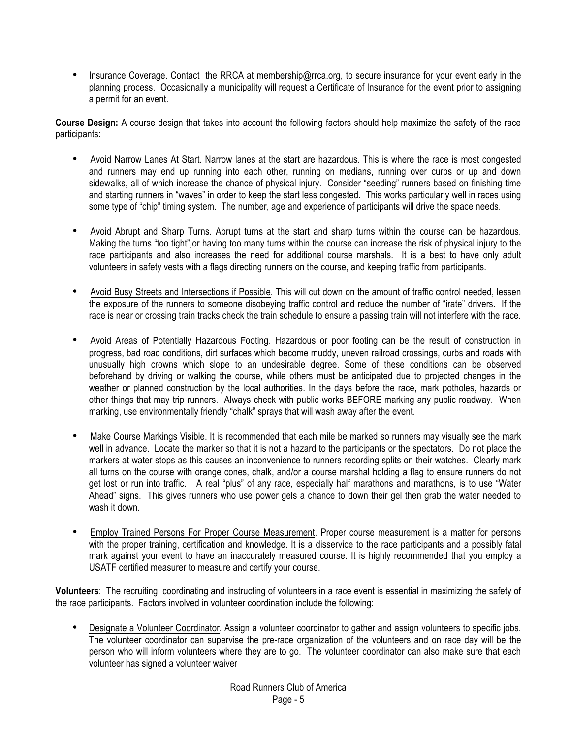• Insurance Coverage. Contact the RRCA at membership@rrca.org, to secure insurance for your event early in the planning process. Occasionally a municipality will request a Certificate of Insurance for the event prior to assigning a permit for an event.

**Course Design:** A course design that takes into account the following factors should help maximize the safety of the race participants:

- Avoid Narrow Lanes At Start. Narrow lanes at the start are hazardous. This is where the race is most congested and runners may end up running into each other, running on medians, running over curbs or up and down sidewalks, all of which increase the chance of physical injury. Consider "seeding" runners based on finishing time and starting runners in "waves" in order to keep the start less congested. This works particularly well in races using some type of "chip" timing system. The number, age and experience of participants will drive the space needs.
- Avoid Abrupt and Sharp Turns. Abrupt turns at the start and sharp turns within the course can be hazardous. Making the turns "too tight",or having too many turns within the course can increase the risk of physical injury to the race participants and also increases the need for additional course marshals. It is a best to have only adult volunteers in safety vests with a flags directing runners on the course, and keeping traffic from participants.
- Avoid Busy Streets and Intersections if Possible. This will cut down on the amount of traffic control needed, lessen the exposure of the runners to someone disobeying traffic control and reduce the number of "irate" drivers. If the race is near or crossing train tracks check the train schedule to ensure a passing train will not interfere with the race.
- Avoid Areas of Potentially Hazardous Footing. Hazardous or poor footing can be the result of construction in progress, bad road conditions, dirt surfaces which become muddy, uneven railroad crossings, curbs and roads with unusually high crowns which slope to an undesirable degree. Some of these conditions can be observed beforehand by driving or walking the course, while others must be anticipated due to projected changes in the weather or planned construction by the local authorities. In the days before the race, mark potholes, hazards or other things that may trip runners. Always check with public works BEFORE marking any public roadway. When marking, use environmentally friendly "chalk" sprays that will wash away after the event.
- Make Course Markings Visible. It is recommended that each mile be marked so runners may visually see the mark well in advance. Locate the marker so that it is not a hazard to the participants or the spectators. Do not place the markers at water stops as this causes an inconvenience to runners recording splits on their watches. Clearly mark all turns on the course with orange cones, chalk, and/or a course marshal holding a flag to ensure runners do not get lost or run into traffic. A real "plus" of any race, especially half marathons and marathons, is to use "Water Ahead" signs. This gives runners who use power gels a chance to down their gel then grab the water needed to wash it down.
- Employ Trained Persons For Proper Course Measurement. Proper course measurement is a matter for persons with the proper training, certification and knowledge. It is a disservice to the race participants and a possibly fatal mark against your event to have an inaccurately measured course. It is highly recommended that you employ a USATF certified measurer to measure and certify your course.

**Volunteers**: The recruiting, coordinating and instructing of volunteers in a race event is essential in maximizing the safety of the race participants. Factors involved in volunteer coordination include the following:

• Designate a Volunteer Coordinator. Assign a volunteer coordinator to gather and assign volunteers to specific jobs. The volunteer coordinator can supervise the pre-race organization of the volunteers and on race day will be the person who will inform volunteers where they are to go. The volunteer coordinator can also make sure that each volunteer has signed a volunteer waiver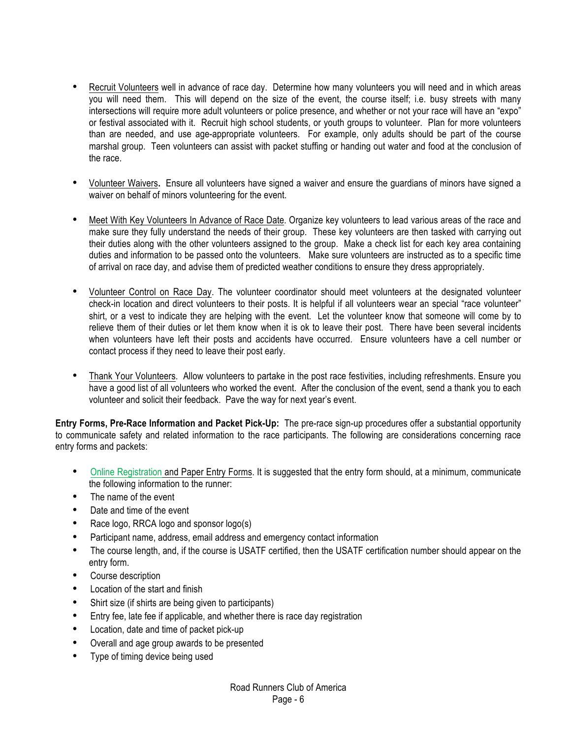- Recruit Volunteers well in advance of race day. Determine how many volunteers you will need and in which areas you will need them. This will depend on the size of the event, the course itself; i.e. busy streets with many intersections will require more adult volunteers or police presence, and whether or not your race will have an "expo" or festival associated with it. Recruit high school students, or youth groups to volunteer. Plan for more volunteers than are needed, and use age-appropriate volunteers. For example, only adults should be part of the course marshal group. Teen volunteers can assist with packet stuffing or handing out water and food at the conclusion of the race.
- Volunteer Waivers**.** Ensure all volunteers have signed a waiver and ensure the guardians of minors have signed a waiver on behalf of minors volunteering for the event.
- Meet With Key Volunteers In Advance of Race Date. Organize key volunteers to lead various areas of the race and make sure they fully understand the needs of their group. These key volunteers are then tasked with carrying out their duties along with the other volunteers assigned to the group. Make a check list for each key area containing duties and information to be passed onto the volunteers. Make sure volunteers are instructed as to a specific time of arrival on race day, and advise them of predicted weather conditions to ensure they dress appropriately.
- Volunteer Control on Race Day. The volunteer coordinator should meet volunteers at the designated volunteer check-in location and direct volunteers to their posts. It is helpful if all volunteers wear an special "race volunteer" shirt, or a vest to indicate they are helping with the event. Let the volunteer know that someone will come by to relieve them of their duties or let them know when it is ok to leave their post. There have been several incidents when volunteers have left their posts and accidents have occurred. Ensure volunteers have a cell number or contact process if they need to leave their post early.
- Thank Your Volunteers. Allow volunteers to partake in the post race festivities, including refreshments. Ensure you have a good list of all volunteers who worked the event. After the conclusion of the event, send a thank you to each volunteer and solicit their feedback. Pave the way for next year's event.

**Entry Forms, Pre-Race Information and Packet Pick-Up:** The pre-race sign-up procedures offer a substantial opportunity to communicate safety and related information to the race participants. The following are considerations concerning race entry forms and packets:

- Online Registration and Paper Entry Forms. It is suggested that the entry form should, at a minimum, communicate the following information to the runner:
- The name of the event
- Date and time of the event
- Race logo, RRCA logo and sponsor logo(s)
- Participant name, address, email address and emergency contact information
- The course length, and, if the course is USATF certified, then the USATF certification number should appear on the entry form.
- Course description
- Location of the start and finish
- Shirt size (if shirts are being given to participants)
- Entry fee, late fee if applicable, and whether there is race day registration
- Location, date and time of packet pick-up
- Overall and age group awards to be presented
- Type of timing device being used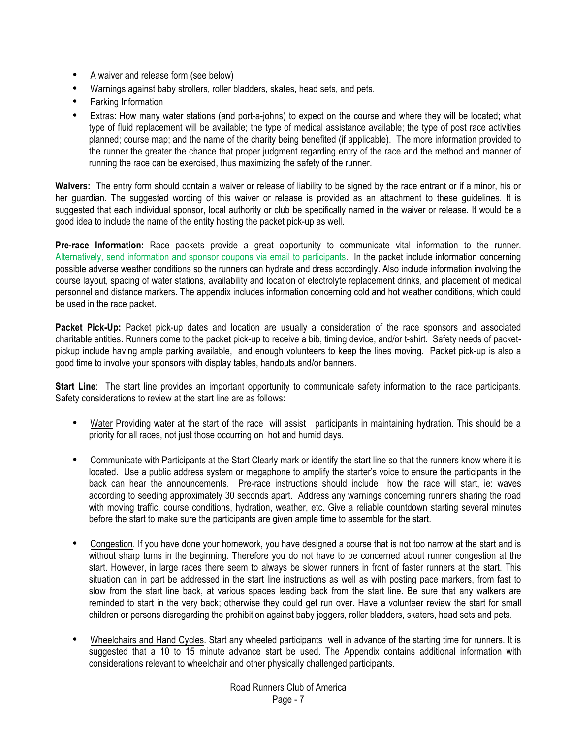- A waiver and release form (see below)
- Warnings against baby strollers, roller bladders, skates, head sets, and pets.
- Parking Information
- Extras: How many water stations (and port-a-johns) to expect on the course and where they will be located; what type of fluid replacement will be available; the type of medical assistance available; the type of post race activities planned; course map; and the name of the charity being benefited (if applicable). The more information provided to the runner the greater the chance that proper judgment regarding entry of the race and the method and manner of running the race can be exercised, thus maximizing the safety of the runner.

**Waivers:** The entry form should contain a waiver or release of liability to be signed by the race entrant or if a minor, his or her guardian. The suggested wording of this waiver or release is provided as an attachment to these guidelines. It is suggested that each individual sponsor, local authority or club be specifically named in the waiver or release. It would be a good idea to include the name of the entity hosting the packet pick-up as well.

**Pre-race Information:** Race packets provide a great opportunity to communicate vital information to the runner. Alternatively, send information and sponsor coupons via email to participants. In the packet include information concerning possible adverse weather conditions so the runners can hydrate and dress accordingly. Also include information involving the course layout, spacing of water stations, availability and location of electrolyte replacement drinks, and placement of medical personnel and distance markers. The appendix includes information concerning cold and hot weather conditions, which could be used in the race packet.

**Packet Pick-Up:** Packet pick-up dates and location are usually a consideration of the race sponsors and associated charitable entities. Runners come to the packet pick-up to receive a bib, timing device, and/or t-shirt. Safety needs of packetpickup include having ample parking available, and enough volunteers to keep the lines moving. Packet pick-up is also a good time to involve your sponsors with display tables, handouts and/or banners.

**Start Line**: The start line provides an important opportunity to communicate safety information to the race participants. Safety considerations to review at the start line are as follows:

- Water Providing water at the start of the race will assist participants in maintaining hydration. This should be a priority for all races, not just those occurring on hot and humid days.
- Communicate with Participants at the Start Clearly mark or identify the start line so that the runners know where it is located. Use a public address system or megaphone to amplify the starter's voice to ensure the participants in the back can hear the announcements. Pre-race instructions should include how the race will start, ie: waves according to seeding approximately 30 seconds apart. Address any warnings concerning runners sharing the road with moving traffic, course conditions, hydration, weather, etc. Give a reliable countdown starting several minutes before the start to make sure the participants are given ample time to assemble for the start.
- Congestion. If you have done your homework, you have designed a course that is not too narrow at the start and is without sharp turns in the beginning. Therefore you do not have to be concerned about runner congestion at the start. However, in large races there seem to always be slower runners in front of faster runners at the start. This situation can in part be addressed in the start line instructions as well as with posting pace markers, from fast to slow from the start line back, at various spaces leading back from the start line. Be sure that any walkers are reminded to start in the very back; otherwise they could get run over. Have a volunteer review the start for small children or persons disregarding the prohibition against baby joggers, roller bladders, skaters, head sets and pets.
- Wheelchairs and Hand Cycles. Start any wheeled participants well in advance of the starting time for runners. It is suggested that a 10 to 15 minute advance start be used. The Appendix contains additional information with considerations relevant to wheelchair and other physically challenged participants.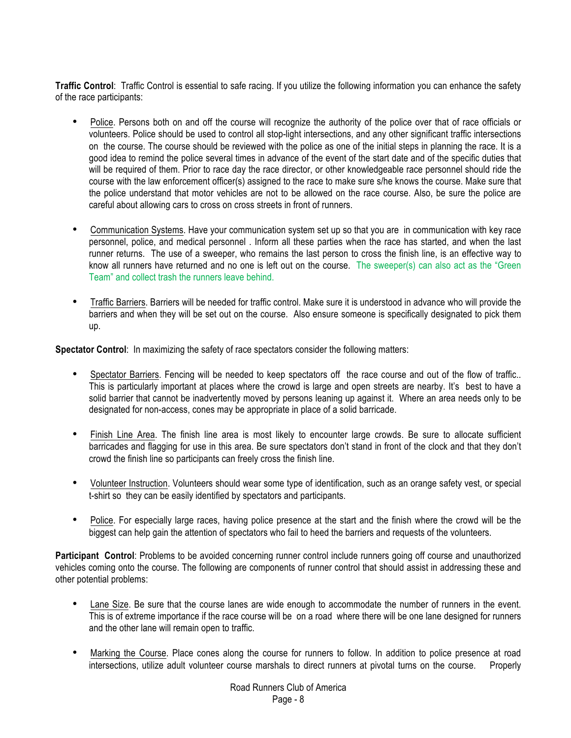**Traffic Control**: Traffic Control is essential to safe racing. If you utilize the following information you can enhance the safety of the race participants:

- Police. Persons both on and off the course will recognize the authority of the police over that of race officials or volunteers. Police should be used to control all stop-light intersections, and any other significant traffic intersections on the course. The course should be reviewed with the police as one of the initial steps in planning the race. It is a good idea to remind the police several times in advance of the event of the start date and of the specific duties that will be required of them. Prior to race day the race director, or other knowledgeable race personnel should ride the course with the law enforcement officer(s) assigned to the race to make sure s/he knows the course. Make sure that the police understand that motor vehicles are not to be allowed on the race course. Also, be sure the police are careful about allowing cars to cross on cross streets in front of runners.
- Communication Systems. Have your communication system set up so that you are in communication with key race personnel, police, and medical personnel . Inform all these parties when the race has started, and when the last runner returns. The use of a sweeper, who remains the last person to cross the finish line, is an effective way to know all runners have returned and no one is left out on the course. The sweeper(s) can also act as the "Green Team" and collect trash the runners leave behind.
- Traffic Barriers. Barriers will be needed for traffic control. Make sure it is understood in advance who will provide the barriers and when they will be set out on the course. Also ensure someone is specifically designated to pick them up.

**Spectator Control**: In maximizing the safety of race spectators consider the following matters:

- Spectator Barriers. Fencing will be needed to keep spectators off the race course and out of the flow of traffic.. This is particularly important at places where the crowd is large and open streets are nearby. It's best to have a solid barrier that cannot be inadvertently moved by persons leaning up against it. Where an area needs only to be designated for non-access, cones may be appropriate in place of a solid barricade.
- Finish Line Area. The finish line area is most likely to encounter large crowds. Be sure to allocate sufficient barricades and flagging for use in this area. Be sure spectators don't stand in front of the clock and that they don't crowd the finish line so participants can freely cross the finish line.
- Volunteer Instruction. Volunteers should wear some type of identification, such as an orange safety vest, or special t-shirt so they can be easily identified by spectators and participants.
- Police. For especially large races, having police presence at the start and the finish where the crowd will be the biggest can help gain the attention of spectators who fail to heed the barriers and requests of the volunteers.

**Participant Control**: Problems to be avoided concerning runner control include runners going off course and unauthorized vehicles coming onto the course. The following are components of runner control that should assist in addressing these and other potential problems:

- Lane Size. Be sure that the course lanes are wide enough to accommodate the number of runners in the event. This is of extreme importance if the race course will be on a road where there will be one lane designed for runners and the other lane will remain open to traffic.
- Marking the Course. Place cones along the course for runners to follow. In addition to police presence at road intersections, utilize adult volunteer course marshals to direct runners at pivotal turns on the course. Properly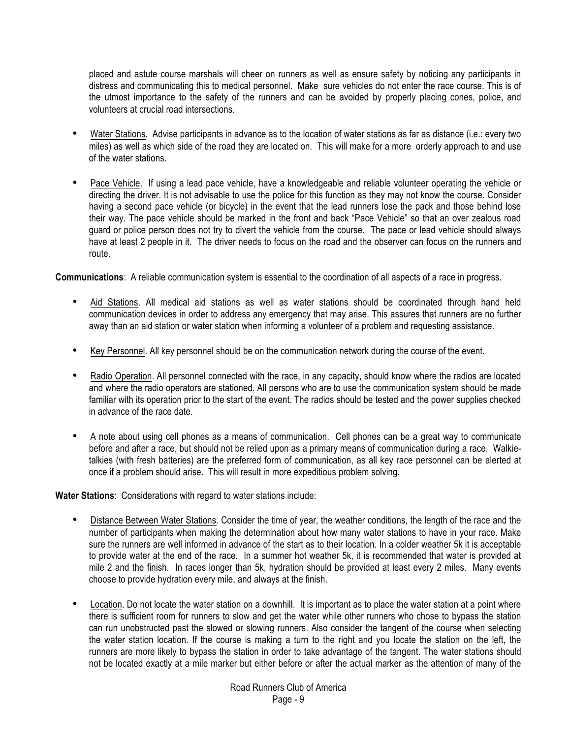placed and astute course marshals will cheer on runners as well as ensure safety by noticing any participants in distress and communicating this to medical personnel. Make sure vehicles do not enter the race course. This is of the utmost importance to the safety of the runners and can be avoided by properly placing cones, police, and volunteers at crucial road intersections.

- Water Stations. Advise participants in advance as to the location of water stations as far as distance (i.e.: every two miles) as well as which side of the road they are located on. This will make for a more orderly approach to and use of the water stations.
- Pace Vehicle. If using a lead pace vehicle, have a knowledgeable and reliable volunteer operating the vehicle or directing the driver. It is not advisable to use the police for this function as they may not know the course. Consider having a second pace vehicle (or bicycle) in the event that the lead runners lose the pack and those behind lose their way. The pace vehicle should be marked in the front and back "Pace Vehicle" so that an over zealous road guard or police person does not try to divert the vehicle from the course. The pace or lead vehicle should always have at least 2 people in it. The driver needs to focus on the road and the observer can focus on the runners and route.

**Communications**: A reliable communication system is essential to the coordination of all aspects of a race in progress.

- Aid Stations. All medical aid stations as well as water stations should be coordinated through hand held communication devices in order to address any emergency that may arise. This assures that runners are no further away than an aid station or water station when informing a volunteer of a problem and requesting assistance.
- Key Personnel. All key personnel should be on the communication network during the course of the event.
- Radio Operation. All personnel connected with the race, in any capacity, should know where the radios are located and where the radio operators are stationed. All persons who are to use the communication system should be made familiar with its operation prior to the start of the event. The radios should be tested and the power supplies checked in advance of the race date.
- A note about using cell phones as a means of communication. Cell phones can be a great way to communicate before and after a race, but should not be relied upon as a primary means of communication during a race. Walkietalkies (with fresh batteries) are the preferred form of communication, as all key race personnel can be alerted at once if a problem should arise. This will result in more expeditious problem solving.

**Water Stations**: Considerations with regard to water stations include:

- Distance Between Water Stations. Consider the time of year, the weather conditions, the length of the race and the number of participants when making the determination about how many water stations to have in your race. Make sure the runners are well informed in advance of the start as to their location. In a colder weather 5k it is acceptable to provide water at the end of the race. In a summer hot weather 5k, it is recommended that water is provided at mile 2 and the finish. In races longer than 5k, hydration should be provided at least every 2 miles. Many events choose to provide hydration every mile, and always at the finish.
- Location. Do not locate the water station on a downhill. It is important as to place the water station at a point where there is sufficient room for runners to slow and get the water while other runners who chose to bypass the station can run unobstructed past the slowed or slowing runners. Also consider the tangent of the course when selecting the water station location. If the course is making a turn to the right and you locate the station on the left, the runners are more likely to bypass the station in order to take advantage of the tangent. The water stations should not be located exactly at a mile marker but either before or after the actual marker as the attention of many of the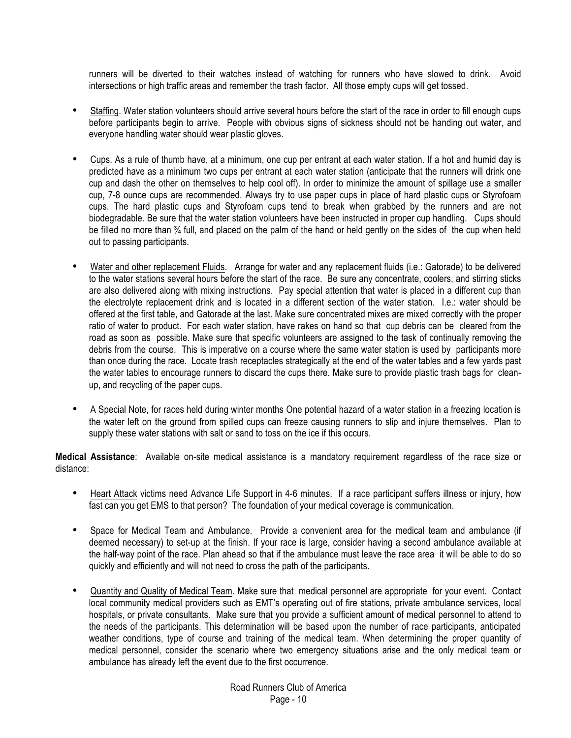runners will be diverted to their watches instead of watching for runners who have slowed to drink. Avoid intersections or high traffic areas and remember the trash factor. All those empty cups will get tossed.

- Staffing. Water station volunteers should arrive several hours before the start of the race in order to fill enough cups before participants begin to arrive. People with obvious signs of sickness should not be handing out water, and everyone handling water should wear plastic gloves.
- Cups. As a rule of thumb have, at a minimum, one cup per entrant at each water station. If a hot and humid day is predicted have as a minimum two cups per entrant at each water station (anticipate that the runners will drink one cup and dash the other on themselves to help cool off). In order to minimize the amount of spillage use a smaller cup, 7-8 ounce cups are recommended. Always try to use paper cups in place of hard plastic cups or Styrofoam cups. The hard plastic cups and Styrofoam cups tend to break when grabbed by the runners and are not biodegradable. Be sure that the water station volunteers have been instructed in proper cup handling. Cups should be filled no more than ¾ full, and placed on the palm of the hand or held gently on the sides of the cup when held out to passing participants.
- Water and other replacement Fluids. Arrange for water and any replacement fluids (i.e.: Gatorade) to be delivered to the water stations several hours before the start of the race. Be sure any concentrate, coolers, and stirring sticks are also delivered along with mixing instructions. Pay special attention that water is placed in a different cup than the electrolyte replacement drink and is located in a different section of the water station. I.e.: water should be offered at the first table, and Gatorade at the last. Make sure concentrated mixes are mixed correctly with the proper ratio of water to product. For each water station, have rakes on hand so that cup debris can be cleared from the road as soon as possible. Make sure that specific volunteers are assigned to the task of continually removing the debris from the course. This is imperative on a course where the same water station is used by participants more than once during the race. Locate trash receptacles strategically at the end of the water tables and a few yards past the water tables to encourage runners to discard the cups there. Make sure to provide plastic trash bags for cleanup, and recycling of the paper cups.
- A Special Note, for races held during winter months One potential hazard of a water station in a freezing location is the water left on the ground from spilled cups can freeze causing runners to slip and injure themselves. Plan to supply these water stations with salt or sand to toss on the ice if this occurs.

**Medical Assistance**: Available on-site medical assistance is a mandatory requirement regardless of the race size or distance:

- Heart Attack victims need Advance Life Support in 4-6 minutes. If a race participant suffers illness or injury, how fast can you get EMS to that person? The foundation of your medical coverage is communication.
- Space for Medical Team and Ambulance. Provide a convenient area for the medical team and ambulance (if deemed necessary) to set-up at the finish. If your race is large, consider having a second ambulance available at the half-way point of the race. Plan ahead so that if the ambulance must leave the race area it will be able to do so quickly and efficiently and will not need to cross the path of the participants.
- Quantity and Quality of Medical Team. Make sure that medical personnel are appropriate for your event. Contact local community medical providers such as EMT's operating out of fire stations, private ambulance services, local hospitals, or private consultants. Make sure that you provide a sufficient amount of medical personnel to attend to the needs of the participants. This determination will be based upon the number of race participants, anticipated weather conditions, type of course and training of the medical team. When determining the proper quantity of medical personnel, consider the scenario where two emergency situations arise and the only medical team or ambulance has already left the event due to the first occurrence.

Road Runners Club of America Page - 10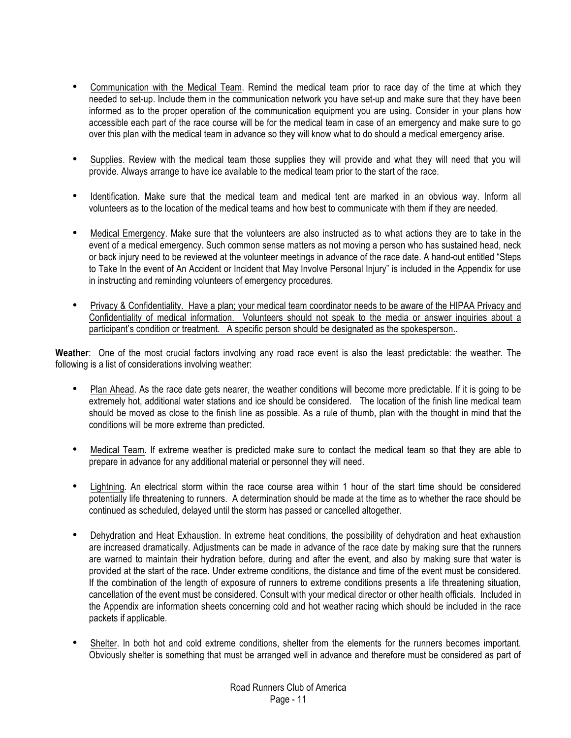- Communication with the Medical Team. Remind the medical team prior to race day of the time at which they needed to set-up. Include them in the communication network you have set-up and make sure that they have been informed as to the proper operation of the communication equipment you are using. Consider in your plans how accessible each part of the race course will be for the medical team in case of an emergency and make sure to go over this plan with the medical team in advance so they will know what to do should a medical emergency arise.
- Supplies. Review with the medical team those supplies they will provide and what they will need that you will provide. Always arrange to have ice available to the medical team prior to the start of the race.
- Identification. Make sure that the medical team and medical tent are marked in an obvious way. Inform all volunteers as to the location of the medical teams and how best to communicate with them if they are needed.
- Medical Emergency. Make sure that the volunteers are also instructed as to what actions they are to take in the event of a medical emergency. Such common sense matters as not moving a person who has sustained head, neck or back injury need to be reviewed at the volunteer meetings in advance of the race date. A hand-out entitled "Steps to Take In the event of An Accident or Incident that May Involve Personal Injury" is included in the Appendix for use in instructing and reminding volunteers of emergency procedures.
- Privacy & Confidentiality. Have a plan; your medical team coordinator needs to be aware of the HIPAA Privacy and Confidentiality of medical information. Volunteers should not speak to the media or answer inquiries about a participant's condition or treatment. A specific person should be designated as the spokesperson..

**Weather**: One of the most crucial factors involving any road race event is also the least predictable: the weather. The following is a list of considerations involving weather:

- Plan Ahead. As the race date gets nearer, the weather conditions will become more predictable. If it is going to be extremely hot, additional water stations and ice should be considered. The location of the finish line medical team should be moved as close to the finish line as possible. As a rule of thumb, plan with the thought in mind that the conditions will be more extreme than predicted.
- Medical Team. If extreme weather is predicted make sure to contact the medical team so that they are able to prepare in advance for any additional material or personnel they will need.
- Lightning. An electrical storm within the race course area within 1 hour of the start time should be considered potentially life threatening to runners. A determination should be made at the time as to whether the race should be continued as scheduled, delayed until the storm has passed or cancelled altogether.
- Dehydration and Heat Exhaustion. In extreme heat conditions, the possibility of dehydration and heat exhaustion are increased dramatically. Adjustments can be made in advance of the race date by making sure that the runners are warned to maintain their hydration before, during and after the event, and also by making sure that water is provided at the start of the race. Under extreme conditions, the distance and time of the event must be considered. If the combination of the length of exposure of runners to extreme conditions presents a life threatening situation, cancellation of the event must be considered. Consult with your medical director or other health officials. Included in the Appendix are information sheets concerning cold and hot weather racing which should be included in the race packets if applicable.
- Shelter. In both hot and cold extreme conditions, shelter from the elements for the runners becomes important. Obviously shelter is something that must be arranged well in advance and therefore must be considered as part of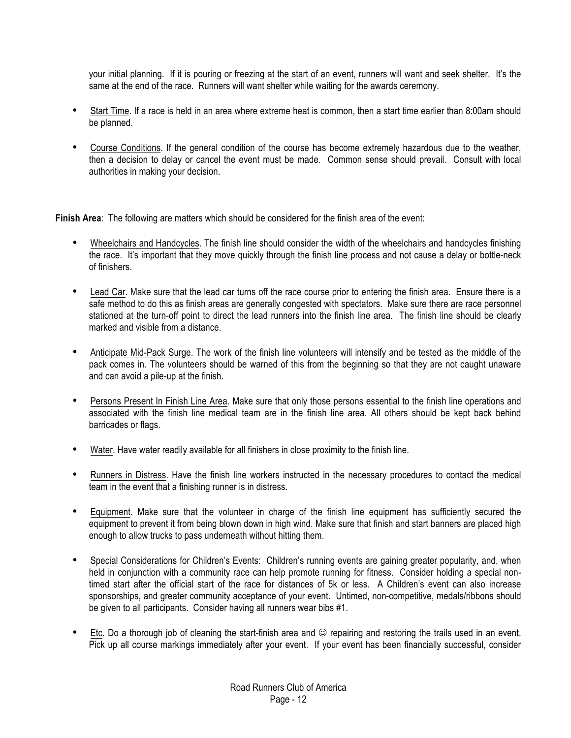your initial planning. If it is pouring or freezing at the start of an event, runners will want and seek shelter. It's the same at the end of the race. Runners will want shelter while waiting for the awards ceremony.

- Start Time. If a race is held in an area where extreme heat is common, then a start time earlier than 8:00am should be planned.
- Course Conditions. If the general condition of the course has become extremely hazardous due to the weather, then a decision to delay or cancel the event must be made. Common sense should prevail. Consult with local authorities in making your decision.

**Finish Area**: The following are matters which should be considered for the finish area of the event:

- Wheelchairs and Handcycles. The finish line should consider the width of the wheelchairs and handcycles finishing the race. It's important that they move quickly through the finish line process and not cause a delay or bottle-neck of finishers.
- Lead Car. Make sure that the lead car turns off the race course prior to entering the finish area. Ensure there is a safe method to do this as finish areas are generally congested with spectators. Make sure there are race personnel stationed at the turn-off point to direct the lead runners into the finish line area. The finish line should be clearly marked and visible from a distance.
- Anticipate Mid-Pack Surge. The work of the finish line volunteers will intensify and be tested as the middle of the pack comes in. The volunteers should be warned of this from the beginning so that they are not caught unaware and can avoid a pile-up at the finish.
- Persons Present In Finish Line Area. Make sure that only those persons essential to the finish line operations and associated with the finish line medical team are in the finish line area. All others should be kept back behind barricades or flags.
- Water. Have water readily available for all finishers in close proximity to the finish line.
- Runners in Distress. Have the finish line workers instructed in the necessary procedures to contact the medical team in the event that a finishing runner is in distress.
- Equipment. Make sure that the volunteer in charge of the finish line equipment has sufficiently secured the equipment to prevent it from being blown down in high wind. Make sure that finish and start banners are placed high enough to allow trucks to pass underneath without hitting them.
- Special Considerations for Children's Events: Children's running events are gaining greater popularity, and, when held in conjunction with a community race can help promote running for fitness. Consider holding a special nontimed start after the official start of the race for distances of 5k or less. A Children's event can also increase sponsorships, and greater community acceptance of your event. Untimed, non-competitive, medals/ribbons should be given to all participants. Consider having all runners wear bibs #1.
- Etc. Do a thorough job of cleaning the start-finish area and  $\odot$  repairing and restoring the trails used in an event. Pick up all course markings immediately after your event. If your event has been financially successful, consider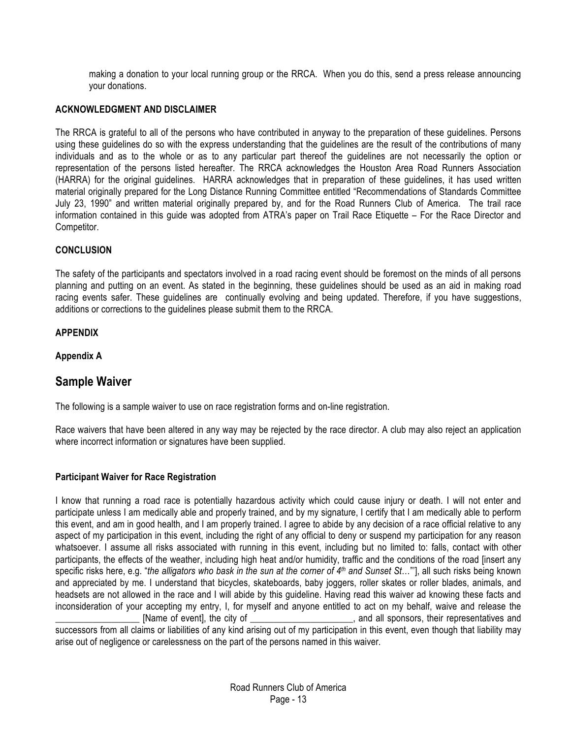making a donation to your local running group or the RRCA. When you do this, send a press release announcing your donations.

#### **ACKNOWLEDGMENT AND DISCLAIMER**

The RRCA is grateful to all of the persons who have contributed in anyway to the preparation of these guidelines. Persons using these guidelines do so with the express understanding that the guidelines are the result of the contributions of many individuals and as to the whole or as to any particular part thereof the guidelines are not necessarily the option or representation of the persons listed hereafter. The RRCA acknowledges the Houston Area Road Runners Association (HARRA) for the original guidelines. HARRA acknowledges that in preparation of these guidelines, it has used written material originally prepared for the Long Distance Running Committee entitled "Recommendations of Standards Committee July 23, 1990" and written material originally prepared by, and for the Road Runners Club of America. The trail race information contained in this guide was adopted from ATRA's paper on Trail Race Etiquette – For the Race Director and Competitor.

#### **CONCLUSION**

The safety of the participants and spectators involved in a road racing event should be foremost on the minds of all persons planning and putting on an event. As stated in the beginning, these guidelines should be used as an aid in making road racing events safer. These guidelines are continually evolving and being updated. Therefore, if you have suggestions, additions or corrections to the guidelines please submit them to the RRCA.

#### **APPENDIX**

**Appendix A**

## **Sample Waiver**

The following is a sample waiver to use on race registration forms and on-line registration.

Race waivers that have been altered in any way may be rejected by the race director. A club may also reject an application where incorrect information or signatures have been supplied.

#### **Participant Waiver for Race Registration**

I know that running a road race is potentially hazardous activity which could cause injury or death. I will not enter and participate unless I am medically able and properly trained, and by my signature, I certify that I am medically able to perform this event, and am in good health, and I am properly trained. I agree to abide by any decision of a race official relative to any aspect of my participation in this event, including the right of any official to deny or suspend my participation for any reason whatsoever. I assume all risks associated with running in this event, including but no limited to: falls, contact with other participants, the effects of the weather, including high heat and/or humidity, traffic and the conditions of the road [insert any specific risks here, e.g. "*the alligators who bask in the sun at the corner of 4th and Sunset St*…"'], all such risks being known and appreciated by me. I understand that bicycles, skateboards, baby joggers, roller skates or roller blades, animals, and headsets are not allowed in the race and I will abide by this guideline. Having read this waiver ad knowing these facts and inconsideration of your accepting my entry, I, for myself and anyone entitled to act on my behalf, waive and release the [Name of event], the city of \_\_\_\_\_\_\_\_\_\_\_\_\_\_\_\_\_\_\_\_\_, and all sponsors, their representatives and successors from all claims or liabilities of any kind arising out of my participation in this event, even though that liability may arise out of negligence or carelessness on the part of the persons named in this waiver.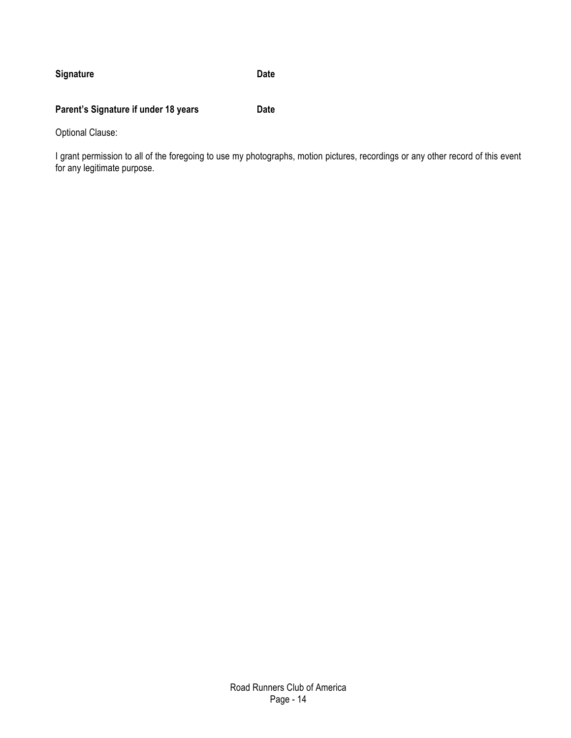### **Signature Date**

### **Parent's Signature if under 18 years Date**

Optional Clause:

I grant permission to all of the foregoing to use my photographs, motion pictures, recordings or any other record of this event for any legitimate purpose.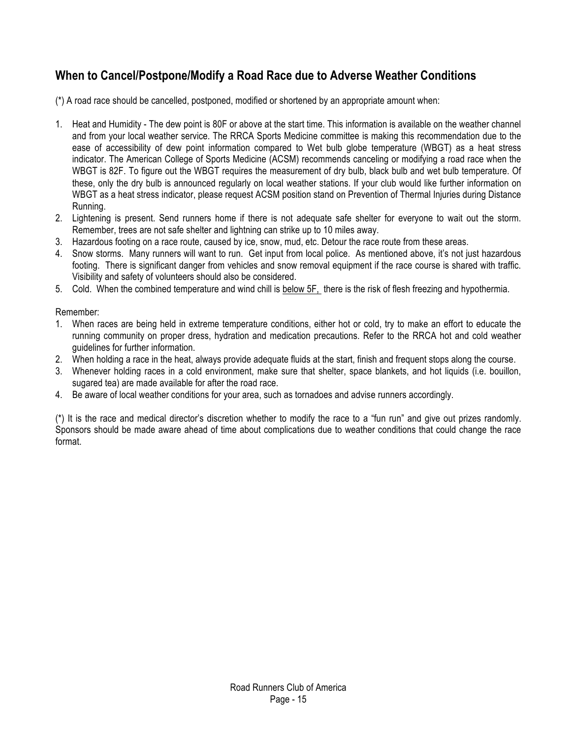# **When to Cancel/Postpone/Modify a Road Race due to Adverse Weather Conditions**

(\*) A road race should be cancelled, postponed, modified or shortened by an appropriate amount when:

- 1. Heat and Humidity The dew point is 80F or above at the start time. This information is available on the weather channel and from your local weather service. The RRCA Sports Medicine committee is making this recommendation due to the ease of accessibility of dew point information compared to Wet bulb globe temperature (WBGT) as a heat stress indicator. The American College of Sports Medicine (ACSM) recommends canceling or modifying a road race when the WBGT is 82F. To figure out the WBGT requires the measurement of dry bulb, black bulb and wet bulb temperature. Of these, only the dry bulb is announced regularly on local weather stations. If your club would like further information on WBGT as a heat stress indicator, please request ACSM position stand on Prevention of Thermal Injuries during Distance Running.
- 2. Lightening is present. Send runners home if there is not adequate safe shelter for everyone to wait out the storm. Remember, trees are not safe shelter and lightning can strike up to 10 miles away.
- 3. Hazardous footing on a race route, caused by ice, snow, mud, etc. Detour the race route from these areas.
- 4. Snow storms. Many runners will want to run. Get input from local police. As mentioned above, it's not just hazardous footing. There is significant danger from vehicles and snow removal equipment if the race course is shared with traffic. Visibility and safety of volunteers should also be considered.
- 5. Cold. When the combined temperature and wind chill is below 5F, there is the risk of flesh freezing and hypothermia.

#### Remember:

- 1. When races are being held in extreme temperature conditions, either hot or cold, try to make an effort to educate the running community on proper dress, hydration and medication precautions. Refer to the RRCA hot and cold weather guidelines for further information.
- 2. When holding a race in the heat, always provide adequate fluids at the start, finish and frequent stops along the course.
- 3. Whenever holding races in a cold environment, make sure that shelter, space blankets, and hot liquids (i.e. bouillon, sugared tea) are made available for after the road race.
- 4. Be aware of local weather conditions for your area, such as tornadoes and advise runners accordingly.

(\*) It is the race and medical director's discretion whether to modify the race to a "fun run" and give out prizes randomly. Sponsors should be made aware ahead of time about complications due to weather conditions that could change the race format.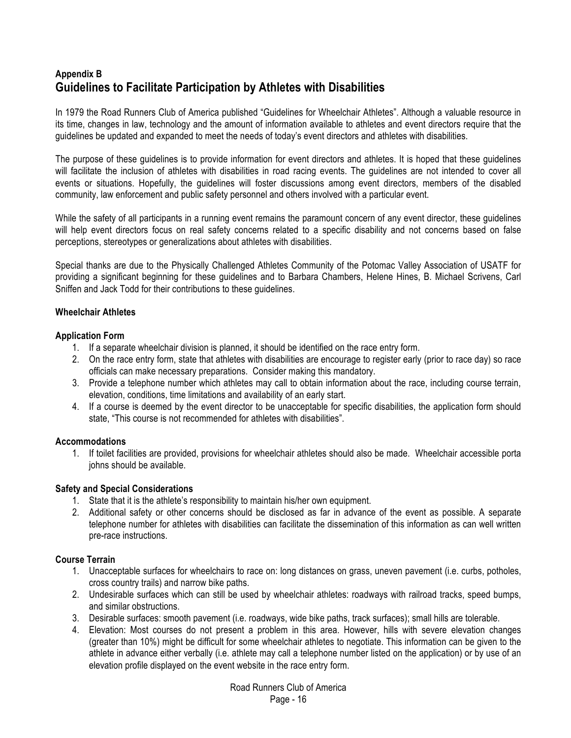# **Appendix B Guidelines to Facilitate Participation by Athletes with Disabilities**

In 1979 the Road Runners Club of America published "Guidelines for Wheelchair Athletes". Although a valuable resource in its time, changes in law, technology and the amount of information available to athletes and event directors require that the guidelines be updated and expanded to meet the needs of today's event directors and athletes with disabilities.

The purpose of these guidelines is to provide information for event directors and athletes. It is hoped that these guidelines will facilitate the inclusion of athletes with disabilities in road racing events. The guidelines are not intended to cover all events or situations. Hopefully, the guidelines will foster discussions among event directors, members of the disabled community, law enforcement and public safety personnel and others involved with a particular event.

While the safety of all participants in a running event remains the paramount concern of any event director, these guidelines will help event directors focus on real safety concerns related to a specific disability and not concerns based on false perceptions, stereotypes or generalizations about athletes with disabilities.

Special thanks are due to the Physically Challenged Athletes Community of the Potomac Valley Association of USATF for providing a significant beginning for these guidelines and to Barbara Chambers, Helene Hines, B. Michael Scrivens, Carl Sniffen and Jack Todd for their contributions to these guidelines.

#### **Wheelchair Athletes**

#### **Application Form**

- 1. If a separate wheelchair division is planned, it should be identified on the race entry form.
- 2. On the race entry form, state that athletes with disabilities are encourage to register early (prior to race day) so race officials can make necessary preparations. Consider making this mandatory.
- 3. Provide a telephone number which athletes may call to obtain information about the race, including course terrain, elevation, conditions, time limitations and availability of an early start.
- 4. If a course is deemed by the event director to be unacceptable for specific disabilities, the application form should state, "This course is not recommended for athletes with disabilities".

#### **Accommodations**

1. If toilet facilities are provided, provisions for wheelchair athletes should also be made. Wheelchair accessible porta johns should be available.

#### **Safety and Special Considerations**

- 1. State that it is the athlete's responsibility to maintain his/her own equipment.
- 2. Additional safety or other concerns should be disclosed as far in advance of the event as possible. A separate telephone number for athletes with disabilities can facilitate the dissemination of this information as can well written pre-race instructions.

#### **Course Terrain**

- 1. Unacceptable surfaces for wheelchairs to race on: long distances on grass, uneven pavement (i.e. curbs, potholes, cross country trails) and narrow bike paths.
- 2. Undesirable surfaces which can still be used by wheelchair athletes: roadways with railroad tracks, speed bumps, and similar obstructions.
- 3. Desirable surfaces: smooth pavement (i.e. roadways, wide bike paths, track surfaces); small hills are tolerable.
- 4. Elevation: Most courses do not present a problem in this area. However, hills with severe elevation changes (greater than 10%) might be difficult for some wheelchair athletes to negotiate. This information can be given to the athlete in advance either verbally (i.e. athlete may call a telephone number listed on the application) or by use of an elevation profile displayed on the event website in the race entry form.

Road Runners Club of America Page - 16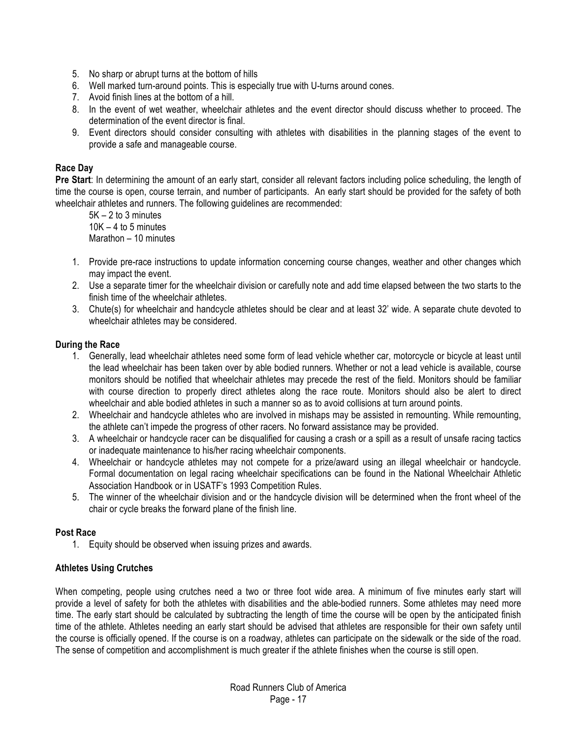- 5. No sharp or abrupt turns at the bottom of hills
- 6. Well marked turn-around points. This is especially true with U-turns around cones.
- 7. Avoid finish lines at the bottom of a hill.
- 8. In the event of wet weather, wheelchair athletes and the event director should discuss whether to proceed. The determination of the event director is final.
- 9. Event directors should consider consulting with athletes with disabilities in the planning stages of the event to provide a safe and manageable course.

#### **Race Day**

**Pre Start**: In determining the amount of an early start, consider all relevant factors including police scheduling, the length of time the course is open, course terrain, and number of participants. An early start should be provided for the safety of both wheelchair athletes and runners. The following guidelines are recommended:

5K – 2 to 3 minutes  $10K - 4$  to 5 minutes Marathon – 10 minutes

- 1. Provide pre-race instructions to update information concerning course changes, weather and other changes which may impact the event.
- 2. Use a separate timer for the wheelchair division or carefully note and add time elapsed between the two starts to the finish time of the wheelchair athletes.
- 3. Chute(s) for wheelchair and handcycle athletes should be clear and at least 32' wide. A separate chute devoted to wheelchair athletes may be considered.

#### **During the Race**

- 1. Generally, lead wheelchair athletes need some form of lead vehicle whether car, motorcycle or bicycle at least until the lead wheelchair has been taken over by able bodied runners. Whether or not a lead vehicle is available, course monitors should be notified that wheelchair athletes may precede the rest of the field. Monitors should be familiar with course direction to properly direct athletes along the race route. Monitors should also be alert to direct wheelchair and able bodied athletes in such a manner so as to avoid collisions at turn around points.
- 2. Wheelchair and handcycle athletes who are involved in mishaps may be assisted in remounting. While remounting, the athlete can't impede the progress of other racers. No forward assistance may be provided.
- 3. A wheelchair or handcycle racer can be disqualified for causing a crash or a spill as a result of unsafe racing tactics or inadequate maintenance to his/her racing wheelchair components.
- 4. Wheelchair or handcycle athletes may not compete for a prize/award using an illegal wheelchair or handcycle. Formal documentation on legal racing wheelchair specifications can be found in the National Wheelchair Athletic Association Handbook or in USATF's 1993 Competition Rules.
- 5. The winner of the wheelchair division and or the handcycle division will be determined when the front wheel of the chair or cycle breaks the forward plane of the finish line.

#### **Post Race**

1. Equity should be observed when issuing prizes and awards.

#### **Athletes Using Crutches**

When competing, people using crutches need a two or three foot wide area. A minimum of five minutes early start will provide a level of safety for both the athletes with disabilities and the able-bodied runners. Some athletes may need more time. The early start should be calculated by subtracting the length of time the course will be open by the anticipated finish time of the athlete. Athletes needing an early start should be advised that athletes are responsible for their own safety until the course is officially opened. If the course is on a roadway, athletes can participate on the sidewalk or the side of the road. The sense of competition and accomplishment is much greater if the athlete finishes when the course is still open.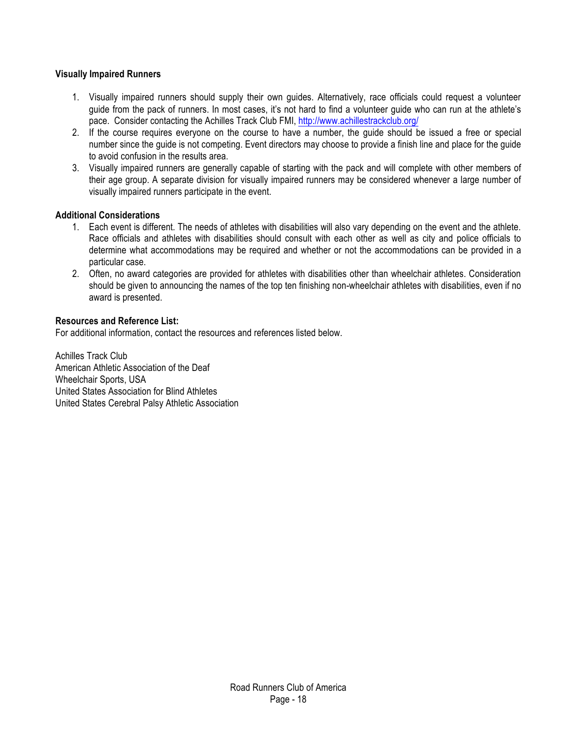#### **Visually Impaired Runners**

- 1. Visually impaired runners should supply their own guides. Alternatively, race officials could request a volunteer guide from the pack of runners. In most cases, it's not hard to find a volunteer guide who can run at the athlete's pace. Consider contacting the Achilles Track Club FMI,<http://www.achillestrackclub.org/>
- 2. If the course requires everyone on the course to have a number, the guide should be issued a free or special number since the guide is not competing. Event directors may choose to provide a finish line and place for the guide to avoid confusion in the results area.
- 3. Visually impaired runners are generally capable of starting with the pack and will complete with other members of their age group. A separate division for visually impaired runners may be considered whenever a large number of visually impaired runners participate in the event.

#### **Additional Considerations**

- 1. Each event is different. The needs of athletes with disabilities will also vary depending on the event and the athlete. Race officials and athletes with disabilities should consult with each other as well as city and police officials to determine what accommodations may be required and whether or not the accommodations can be provided in a particular case.
- 2. Often, no award categories are provided for athletes with disabilities other than wheelchair athletes. Consideration should be given to announcing the names of the top ten finishing non-wheelchair athletes with disabilities, even if no award is presented.

#### **Resources and Reference List:**

For additional information, contact the resources and references listed below.

Achilles Track Club American Athletic Association of the Deaf Wheelchair Sports, USA United States Association for Blind Athletes United States Cerebral Palsy Athletic Association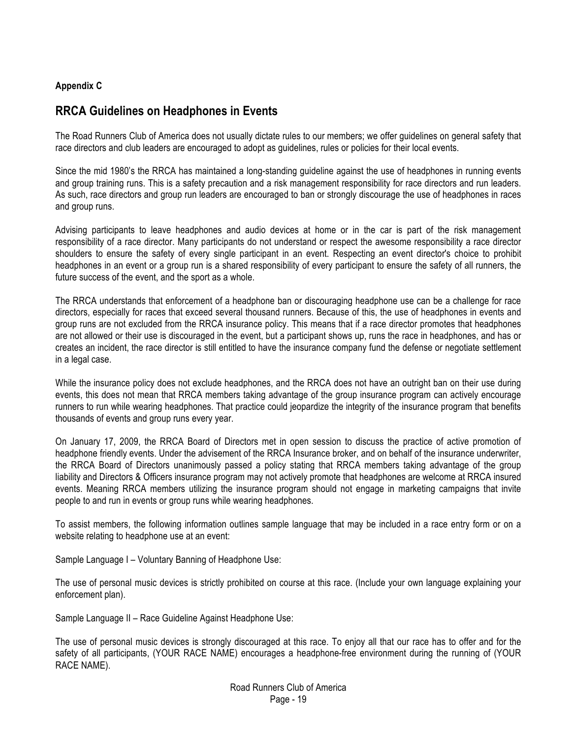#### **Appendix C**

## **RRCA Guidelines on Headphones in Events**

The Road Runners Club of America does not usually dictate rules to our members; we offer guidelines on general safety that race directors and club leaders are encouraged to adopt as guidelines, rules or policies for their local events.

Since the mid 1980's the RRCA has maintained a long-standing guideline against the use of headphones in running events and group training runs. This is a safety precaution and a risk management responsibility for race directors and run leaders. As such, race directors and group run leaders are encouraged to ban or strongly discourage the use of headphones in races and group runs.

Advising participants to leave headphones and audio devices at home or in the car is part of the risk management responsibility of a race director. Many participants do not understand or respect the awesome responsibility a race director shoulders to ensure the safety of every single participant in an event. Respecting an event director's choice to prohibit headphones in an event or a group run is a shared responsibility of every participant to ensure the safety of all runners, the future success of the event, and the sport as a whole.

The RRCA understands that enforcement of a headphone ban or discouraging headphone use can be a challenge for race directors, especially for races that exceed several thousand runners. Because of this, the use of headphones in events and group runs are not excluded from the RRCA insurance policy. This means that if a race director promotes that headphones are not allowed or their use is discouraged in the event, but a participant shows up, runs the race in headphones, and has or creates an incident, the race director is still entitled to have the insurance company fund the defense or negotiate settlement in a legal case.

While the insurance policy does not exclude headphones, and the RRCA does not have an outright ban on their use during events, this does not mean that RRCA members taking advantage of the group insurance program can actively encourage runners to run while wearing headphones. That practice could jeopardize the integrity of the insurance program that benefits thousands of events and group runs every year.

On January 17, 2009, the RRCA Board of Directors met in open session to discuss the practice of active promotion of headphone friendly events. Under the advisement of the RRCA Insurance broker, and on behalf of the insurance underwriter, the RRCA Board of Directors unanimously passed a policy stating that RRCA members taking advantage of the group liability and Directors & Officers insurance program may not actively promote that headphones are welcome at RRCA insured events. Meaning RRCA members utilizing the insurance program should not engage in marketing campaigns that invite people to and run in events or group runs while wearing headphones.

To assist members, the following information outlines sample language that may be included in a race entry form or on a website relating to headphone use at an event:

Sample Language I – Voluntary Banning of Headphone Use:

The use of personal music devices is strictly prohibited on course at this race. (Include your own language explaining your enforcement plan).

Sample Language II – Race Guideline Against Headphone Use:

The use of personal music devices is strongly discouraged at this race. To enjoy all that our race has to offer and for the safety of all participants, (YOUR RACE NAME) encourages a headphone-free environment during the running of (YOUR RACE NAME).

> Road Runners Club of America Page - 19